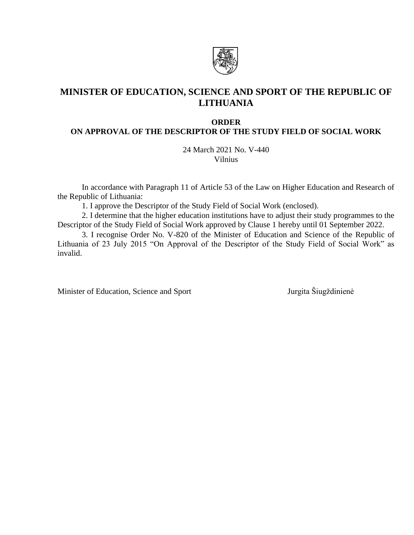

# **MINISTER OF EDUCATION, SCIENCE AND SPORT OF THE REPUBLIC OF LITHUANIA**

#### **ORDER**

# **ON APPROVAL OF THE DESCRIPTOR OF THE STUDY FIELD OF SOCIAL WORK**

24 March 2021 No. V-440 Vilnius

In accordance with Paragraph 11 of Article 53 of the Law on Higher Education and Research of the Republic of Lithuania:

1. I approve the Descriptor of the Study Field of Social Work (enclosed).

2. I determine that the higher education institutions have to adjust their study programmes to the Descriptor of the Study Field of Social Work approved by Clause 1 hereby until 01 September 2022.

3. I recognise Order No. V-820 of the Minister of Education and Science of the Republic of Lithuania of 23 July 2015 "On Approval of the Descriptor of the Study Field of Social Work" as invalid.

Minister of Education, Science and Sport Jurgita Šiugždinienė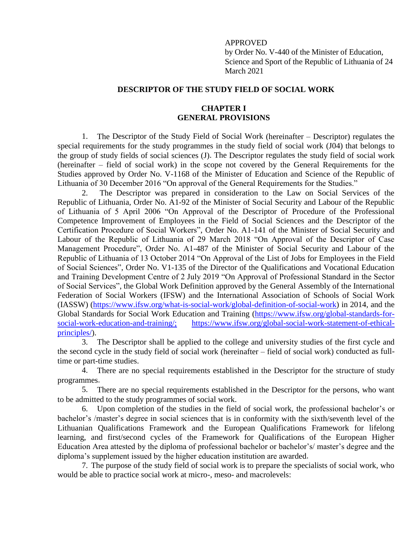#### APPROVED

by Order No. V-440 of the Minister of Education, Science and Sport of the Republic of Lithuania of 24 March 2021

### **DESCRIPTOR OF THE STUDY FIELD OF SOCIAL WORK**

# **CHAPTER I GENERAL PROVISIONS**

1. The Descriptor of the Study Field of Social Work (hereinafter – Descriptor) regulates the special requirements for the study programmes in the study field of social work (J04) that belongs to the group of study fields of social sciences (J). The Descriptor regulates the study field of social work (hereinafter – field of social work) in the scope not covered by the General Requirements for the Studies approved by Order No. V-1168 of the Minister of Education and Science of the Republic of Lithuania of 30 December 2016 "On approval of the General Requirements for the Studies."

2. The Descriptor was prepared in consideration to the Law on Social Services of the Republic of Lithuania, Order No. A1-92 of the Minister of Social Security and Labour of the Republic of Lithuania of 5 April 2006 "On Approval of the Descriptor of Procedure of the Professional Competence Improvement of Employees in the Field of Social Sciences and the Descriptor of the Certification Procedure of Social Workers", Order No. A1-141 of the Minister of Social Security and Labour of the Republic of Lithuania of 29 March 2018 "On Approval of the Descriptor of Case Management Procedure", Order No. A1-487 of the Minister of Social Security and Labour of the Republic of Lithuania of 13 October 2014 "On Approval of the List of Jobs for Employees in the Field of Social Sciences", Order No. V1-135 of the Director of the Qualifications and Vocational Education and Training Development Centre of 2 July 2019 "On Approval of Professional Standard in the Sector of Social Services", the Global Work Definition approved by the General Assembly of the International Federation of Social Workers (IFSW) and the International Association of Schools of Social Work (IASSW) (https://www.ifsw.org/what-is-social-work/global-definition-of-social-work) in 2014, and the Global Standards for Social Work Education and Training (https://www.ifsw.org/global-standards-forsocial-work-education-and-training/; https://www.ifsw.org/global-social-work-statement-of-ethicalprinciples/).

3. The Descriptor shall be applied to the college and university studies of the first cycle and the second cycle in the study field of social work (hereinafter – field of social work) conducted as fulltime or part-time studies.

4. There are no special requirements established in the Descriptor for the structure of study programmes.

5. There are no special requirements established in the Descriptor for the persons, who want to be admitted to the study programmes of social work.

6. Upon completion of the studies in the field of social work, the professional bachelor's or bachelor's /master's degree in social sciences that is in conformity with the sixth/seventh level of the Lithuanian Qualifications Framework and the European Qualifications Framework for lifelong learning, and first/second cycles of the Framework for Qualifications of the European Higher Education Area attested by the diploma of professional bachelor or bachelor's/ master's degree and the diploma's supplement issued by the higher education institution are awarded.

7. The purpose of the study field of social work is to prepare the specialists of social work, who would be able to practice social work at micro-, meso- and macrolevels: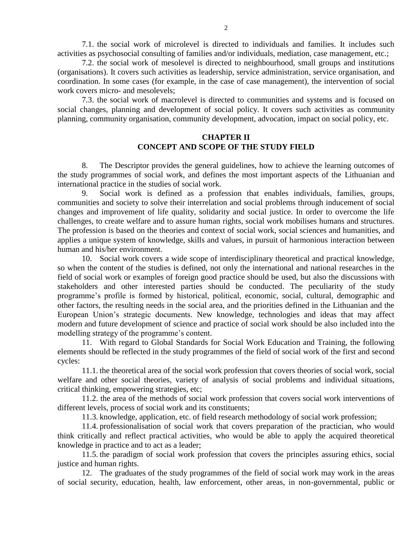7.1. the social work of microlevel is directed to individuals and families. It includes such activities as psychosocial consulting of families and/or individuals, mediation, case management, etc.;

7.2. the social work of mesolevel is directed to neighbourhood, small groups and institutions (organisations). It covers such activities as leadership, service administration, service organisation, and coordination. In some cases (for example, in the case of case management), the intervention of social work covers micro- and mesolevels;

7.3. the social work of macrolevel is directed to communities and systems and is focused on social changes, planning and development of social policy. It covers such activities as community planning, community organisation, community development, advocation, impact on social policy, etc.

### **CHAPTER II CONCEPT AND SCOPE OF THE STUDY FIELD**

8. The Descriptor provides the general guidelines, how to achieve the learning outcomes of the study programmes of social work, and defines the most important aspects of the Lithuanian and international practice in the studies of social work.

9. Social work is defined as a profession that enables individuals, families, groups, communities and society to solve their interrelation and social problems through inducement of social changes and improvement of life quality, solidarity and social justice. In order to overcome the life challenges, to create welfare and to assure human rights, social work mobilises humans and structures. The profession is based on the theories and context of social work, social sciences and humanities, and applies a unique system of knowledge, skills and values, in pursuit of harmonious interaction between human and his/her environment.

10. Social work covers a wide scope of interdisciplinary theoretical and practical knowledge, so when the content of the studies is defined, not only the international and national researches in the field of social work or examples of foreign good practice should be used, but also the discussions with stakeholders and other interested parties should be conducted. The peculiarity of the study programme's profile is formed by historical, political, economic, social, cultural, demographic and other factors, the resulting needs in the social area, and the priorities defined in the Lithuanian and the European Union's strategic documents. New knowledge, technologies and ideas that may affect modern and future development of science and practice of social work should be also included into the modelling strategy of the programme's content.

11. With regard to Global Standards for Social Work Education and Training, the following elements should be reflected in the study programmes of the field of social work of the first and second cycles:

11.1. the theoretical area of the social work profession that covers theories of social work, social welfare and other social theories, variety of analysis of social problems and individual situations, critical thinking, empowering strategies, etc;

11.2. the area of the methods of social work profession that covers social work interventions of different levels, process of social work and its constituents;

11.3. knowledge, application, etc. of field research methodology of social work profession;

11.4. professionalisation of social work that covers preparation of the practician, who would think critically and reflect practical activities, who would be able to apply the acquired theoretical knowledge in practice and to act as a leader;

11.5. the paradigm of social work profession that covers the principles assuring ethics, social justice and human rights.

12. The graduates of the study programmes of the field of social work may work in the areas of social security, education, health, law enforcement, other areas, in non-governmental, public or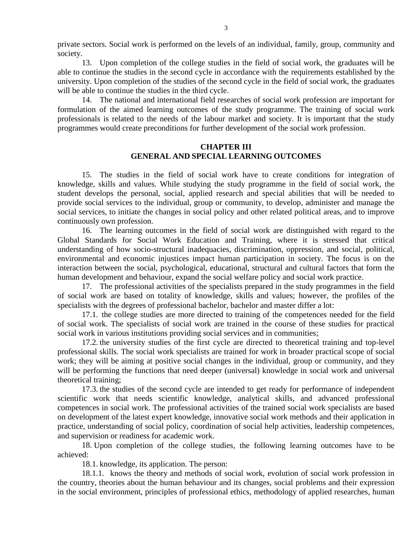private sectors. Social work is performed on the levels of an individual, family, group, community and society.

13. Upon completion of the college studies in the field of social work, the graduates will be able to continue the studies in the second cycle in accordance with the requirements established by the university. Upon completion of the studies of the second cycle in the field of social work, the graduates will be able to continue the studies in the third cycle.

14. The national and international field researches of social work profession are important for formulation of the aimed learning outcomes of the study programme. The training of social work professionals is related to the needs of the labour market and society. It is important that the study programmes would create preconditions for further development of the social work profession.

## **CHAPTER III GENERAL AND SPECIAL LEARNING OUTCOMES**

15. The studies in the field of social work have to create conditions for integration of knowledge, skills and values. While studying the study programme in the field of social work, the student develops the personal, social, applied research and special abilities that will be needed to provide social services to the individual, group or community, to develop, administer and manage the social services, to initiate the changes in social policy and other related political areas, and to improve continuously own profession.

16. The learning outcomes in the field of social work are distinguished with regard to the Global Standards for Social Work Education and Training, where it is stressed that critical understanding of how socio-structural inadequacies, discrimination, oppression, and social, political, environmental and economic injustices impact human participation in society. The focus is on the interaction between the social, psychological, educational, structural and cultural factors that form the human development and behaviour, expand the social welfare policy and social work practice.

17. The professional activities of the specialists prepared in the study programmes in the field of social work are based on totality of knowledge, skills and values; however, the profiles of the specialists with the degrees of professional bachelor, bachelor and master differ a lot:

17.1. the college studies are more directed to training of the competences needed for the field of social work. The specialists of social work are trained in the course of these studies for practical social work in various institutions providing social services and in communities;

17.2. the university studies of the first cycle are directed to theoretical training and top-level professional skills. The social work specialists are trained for work in broader practical scope of social work; they will be aiming at positive social changes in the individual, group or community, and they will be performing the functions that need deeper (universal) knowledge in social work and universal theoretical training;

17.3. the studies of the second cycle are intended to get ready for performance of independent scientific work that needs scientific knowledge, analytical skills, and advanced professional competences in social work. The professional activities of the trained social work specialists are based on development of the latest expert knowledge, innovative social work methods and their application in practice, understanding of social policy, coordination of social help activities, leadership competences, and supervision or readiness for academic work.

18. Upon completion of the college studies, the following learning outcomes have to be achieved:

18.1. knowledge, its application. The person:

18.1.1. knows the theory and methods of social work, evolution of social work profession in the country, theories about the human behaviour and its changes, social problems and their expression in the social environment, principles of professional ethics, methodology of applied researches, human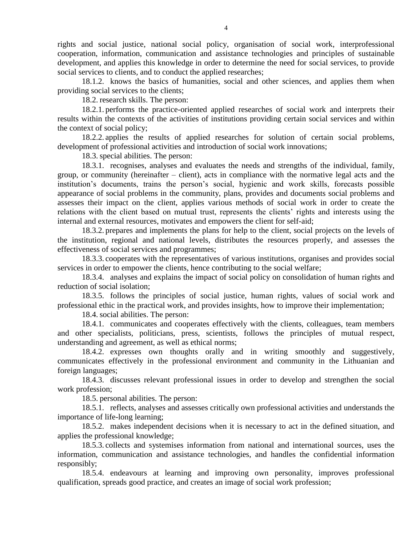rights and social justice, national social policy, organisation of social work, interprofessional cooperation, information, communication and assistance technologies and principles of sustainable development, and applies this knowledge in order to determine the need for social services, to provide social services to clients, and to conduct the applied researches;

18.1.2. knows the basics of humanities, social and other sciences, and applies them when providing social services to the clients;

18.2. research skills. The person:

18.2.1. performs the practice-oriented applied researches of social work and interprets their results within the contexts of the activities of institutions providing certain social services and within the context of social policy;

18.2.2. applies the results of applied researches for solution of certain social problems, development of professional activities and introduction of social work innovations;

18.3. special abilities. The person:

18.3.1. recognises, analyses and evaluates the needs and strengths of the individual, family, group, or community (hereinafter – client), acts in compliance with the normative legal acts and the institution's documents, trains the person's social, hygienic and work skills, forecasts possible appearance of social problems in the community, plans, provides and documents social problems and assesses their impact on the client, applies various methods of social work in order to create the relations with the client based on mutual trust, represents the clients' rights and interests using the internal and external resources, motivates and empowers the client for self-aid;

18.3.2. prepares and implements the plans for help to the client, social projects on the levels of the institution, regional and national levels, distributes the resources properly, and assesses the effectiveness of social services and programmes;

18.3.3. cooperates with the representatives of various institutions, organises and provides social services in order to empower the clients, hence contributing to the social welfare;

18.3.4. analyses and explains the impact of social policy on consolidation of human rights and reduction of social isolation;

18.3.5. follows the principles of social justice, human rights, values of social work and professional ethic in the practical work, and provides insights, how to improve their implementation;

18.4. social abilities. The person:

18.4.1. communicates and cooperates effectively with the clients, colleagues, team members and other specialists, politicians, press, scientists, follows the principles of mutual respect, understanding and agreement, as well as ethical norms;

18.4.2. expresses own thoughts orally and in writing smoothly and suggestively, communicates effectively in the professional environment and community in the Lithuanian and foreign languages;

18.4.3. discusses relevant professional issues in order to develop and strengthen the social work profession;

18.5. personal abilities. The person:

18.5.1. reflects, analyses and assesses critically own professional activities and understands the importance of life-long learning;

18.5.2. makes independent decisions when it is necessary to act in the defined situation, and applies the professional knowledge;

18.5.3. collects and systemises information from national and international sources, uses the information, communication and assistance technologies, and handles the confidential information responsibly;

18.5.4. endeavours at learning and improving own personality, improves professional qualification, spreads good practice, and creates an image of social work profession;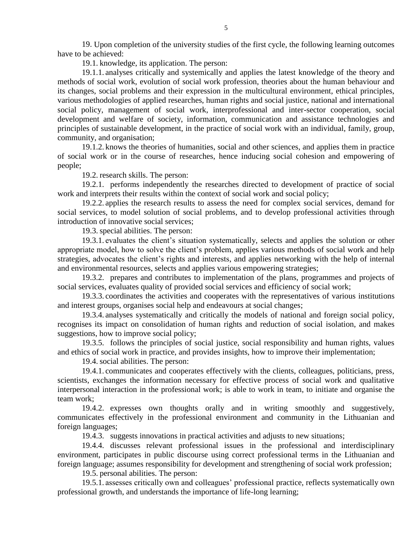19. Upon completion of the university studies of the first cycle, the following learning outcomes have to be achieved:

19.1. knowledge, its application. The person:

19.1.1. analyses critically and systemically and applies the latest knowledge of the theory and methods of social work, evolution of social work profession, theories about the human behaviour and its changes, social problems and their expression in the multicultural environment, ethical principles, various methodologies of applied researches, human rights and social justice, national and international social policy, management of social work, interprofessional and inter-sector cooperation, social development and welfare of society, information, communication and assistance technologies and principles of sustainable development, in the practice of social work with an individual, family, group, community, and organisation;

19.1.2. knows the theories of humanities, social and other sciences, and applies them in practice of social work or in the course of researches, hence inducing social cohesion and empowering of people;

19.2. research skills. The person:

19.2.1. performs independently the researches directed to development of practice of social work and interprets their results within the context of social work and social policy;

19.2.2. applies the research results to assess the need for complex social services, demand for social services, to model solution of social problems, and to develop professional activities through introduction of innovative social services;

19.3. special abilities. The person:

19.3.1. evaluates the client's situation systematically, selects and applies the solution or other appropriate model, how to solve the client's problem, applies various methods of social work and help strategies, advocates the client's rights and interests, and applies networking with the help of internal and environmental resources, selects and applies various empowering strategies;

19.3.2. prepares and contributes to implementation of the plans, programmes and projects of social services, evaluates quality of provided social services and efficiency of social work;

19.3.3. coordinates the activities and cooperates with the representatives of various institutions and interest groups, organises social help and endeavours at social changes;

19.3.4. analyses systematically and critically the models of national and foreign social policy, recognises its impact on consolidation of human rights and reduction of social isolation, and makes suggestions, how to improve social policy;

19.3.5. follows the principles of social justice, social responsibility and human rights, values and ethics of social work in practice, and provides insights, how to improve their implementation;

19.4. social abilities. The person:

19.4.1. communicates and cooperates effectively with the clients, colleagues, politicians, press, scientists, exchanges the information necessary for effective process of social work and qualitative interpersonal interaction in the professional work; is able to work in team, to initiate and organise the team work;

19.4.2. expresses own thoughts orally and in writing smoothly and suggestively, communicates effectively in the professional environment and community in the Lithuanian and foreign languages;

19.4.3. suggests innovations in practical activities and adjusts to new situations;

19.4.4. discusses relevant professional issues in the professional and interdisciplinary environment, participates in public discourse using correct professional terms in the Lithuanian and foreign language; assumes responsibility for development and strengthening of social work profession;

19.5. personal abilities. The person:

19.5.1. assesses critically own and colleagues' professional practice, reflects systematically own professional growth, and understands the importance of life-long learning;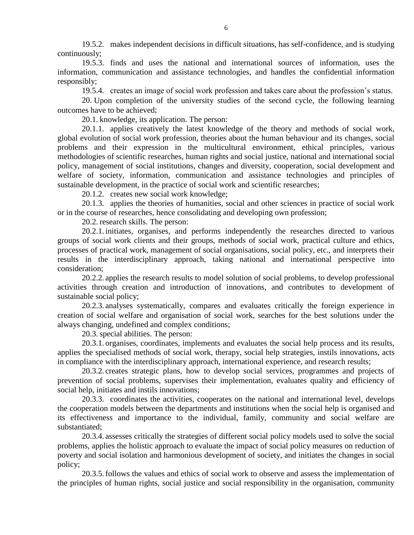19.5.2. makes independent decisions in difficult situations, has self-confidence, and is studying continuously;

19.5.3. finds and uses the national and international sources of information, uses the information, communication and assistance technologies, and handles the confidential information responsibly;

19.5.4. creates an image of social work profession and takes care about the profession's status.

20. Upon completion of the university studies of the second cycle, the following learning outcomes have to be achieved;

20.1. knowledge, its application. The person:

20.1.1. applies creatively the latest knowledge of the theory and methods of social work, global evolution of social work profession, theories about the human behaviour and its changes, social problems and their expression in the multicultural environment, ethical principles, various methodologies of scientific researches, human rights and social justice, national and international social policy, management of social institutions, changes and diversity, cooperation, social development and welfare of society, information, communication and assistance technologies and principles of sustainable development, in the practice of social work and scientific researches;

20.1.2. creates new social work knowledge;

20.1.3. applies the theories of humanities, social and other sciences in practice of social work or in the course of researches, hence consolidating and developing own profession;

20.2. research skills. The person:

20.2.1. initiates, organises, and performs independently the researches directed to various groups of social work clients and their groups, methods of social work, practical culture and ethics, processes of practical work, management of social organisations, social policy, etc., and interprets their results in the interdisciplinary approach, taking national and international perspective into consideration;

20.2.2. applies the research results to model solution of social problems, to develop professional activities through creation and introduction of innovations, and contributes to development of sustainable social policy;

20.2.3. analyses systematically, compares and evaluates critically the foreign experience in creation of social welfare and organisation of social work, searches for the best solutions under the always changing, undefined and complex conditions;

20.3. special abilities. The person:

20.3.1. organises, coordinates, implements and evaluates the social help process and its results, applies the specialised methods of social work, therapy, social help strategies, instils innovations, acts in compliance with the interdisciplinary approach, international experience, and research results;

20.3.2. creates strategic plans, how to develop social services, programmes and projects of prevention of social problems, supervises their implementation, evaluates quality and efficiency of social help, initiates and instils innovations;

20.3.3. coordinates the activities, cooperates on the national and international level, develops the cooperation models between the departments and institutions when the social help is organised and its effectiveness and importance to the individual, family, community and social welfare are substantiated;

20.3.4. assesses critically the strategies of different social policy models used to solve the social problems, applies the holistic approach to evaluate the impact of social policy measures on reduction of poverty and social isolation and harmonious development of society, and initiates the changes in social policy;

20.3.5.follows the values and ethics of social work to observe and assess the implementation of the principles of human rights, social justice and social responsibility in the organisation, community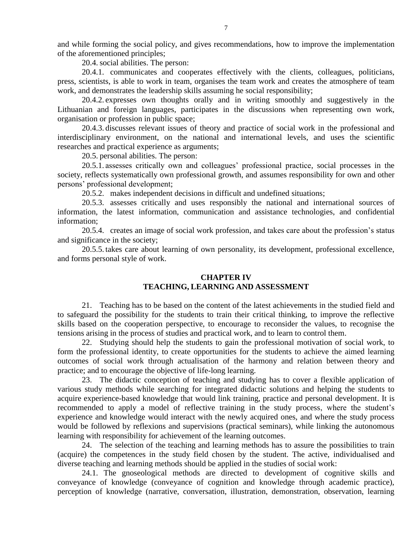and while forming the social policy, and gives recommendations, how to improve the implementation of the aforementioned principles;

20.4. social abilities. The person:

20.4.1. communicates and cooperates effectively with the clients, colleagues, politicians, press, scientists, is able to work in team, organises the team work and creates the atmosphere of team work, and demonstrates the leadership skills assuming he social responsibility;

20.4.2. expresses own thoughts orally and in writing smoothly and suggestively in the Lithuanian and foreign languages, participates in the discussions when representing own work, organisation or profession in public space;

20.4.3. discusses relevant issues of theory and practice of social work in the professional and interdisciplinary environment, on the national and international levels, and uses the scientific researches and practical experience as arguments;

20.5. personal abilities. The person:

20.5.1. assesses critically own and colleagues' professional practice, social processes in the society, reflects systematically own professional growth, and assumes responsibility for own and other persons' professional development;

20.5.2. makes independent decisions in difficult and undefined situations;

20.5.3. assesses critically and uses responsibly the national and international sources of information, the latest information, communication and assistance technologies, and confidential information;

20.5.4. creates an image of social work profession, and takes care about the profession's status and significance in the society;

20.5.5. takes care about learning of own personality, its development, professional excellence, and forms personal style of work.

## **CHAPTER IV TEACHING, LEARNING AND ASSESSMENT**

21. Teaching has to be based on the content of the latest achievements in the studied field and to safeguard the possibility for the students to train their critical thinking, to improve the reflective skills based on the cooperation perspective, to encourage to reconsider the values, to recognise the tensions arising in the process of studies and practical work, and to learn to control them.

22. Studying should help the students to gain the professional motivation of social work, to form the professional identity, to create opportunities for the students to achieve the aimed learning outcomes of social work through actualisation of the harmony and relation between theory and practice; and to encourage the objective of life-long learning.

23. The didactic conception of teaching and studying has to cover a flexible application of various study methods while searching for integrated didactic solutions and helping the students to acquire experience-based knowledge that would link training, practice and personal development. It is recommended to apply a model of reflective training in the study process, where the student's experience and knowledge would interact with the newly acquired ones, and where the study process would be followed by reflexions and supervisions (practical seminars), while linking the autonomous learning with responsibility for achievement of the learning outcomes.

24. The selection of the teaching and learning methods has to assure the possibilities to train (acquire) the competences in the study field chosen by the student. The active, individualised and diverse teaching and learning methods should be applied in the studies of social work:

24.1. The gnoseological methods are directed to development of cognitive skills and conveyance of knowledge (conveyance of cognition and knowledge through academic practice), perception of knowledge (narrative, conversation, illustration, demonstration, observation, learning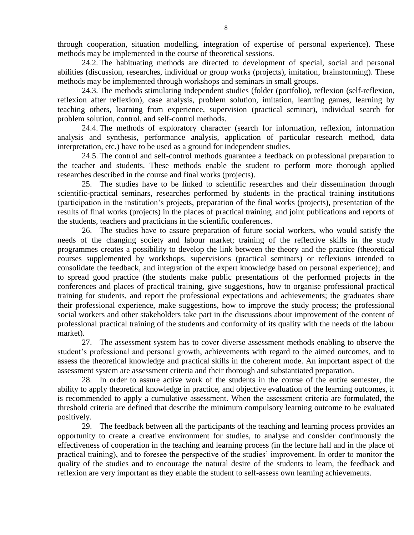through cooperation, situation modelling, integration of expertise of personal experience). These methods may be implemented in the course of theoretical sessions.

24.2. The habituating methods are directed to development of special, social and personal abilities (discussion, researches, individual or group works (projects), imitation, brainstorming). These methods may be implemented through workshops and seminars in small groups.

24.3. The methods stimulating independent studies (folder (portfolio), reflexion (self-reflexion, reflexion after reflexion), case analysis, problem solution, imitation, learning games, learning by teaching others, learning from experience, supervision (practical seminar), individual search for problem solution, control, and self-control methods.

24.4. The methods of exploratory character (search for information, reflexion, information analysis and synthesis, performance analysis, application of particular research method, data interpretation, etc.) have to be used as a ground for independent studies.

24.5. The control and self-control methods guarantee a feedback on professional preparation to the teacher and students. These methods enable the student to perform more thorough applied researches described in the course and final works (projects).

25. The studies have to be linked to scientific researches and their dissemination through scientific-practical seminars, researches performed by students in the practical training institutions (participation in the institution's projects, preparation of the final works (projects), presentation of the results of final works (projects) in the places of practical training, and joint publications and reports of the students, teachers and practicians in the scientific conferences.

26. The studies have to assure preparation of future social workers, who would satisfy the needs of the changing society and labour market; training of the reflective skills in the study programmes creates a possibility to develop the link between the theory and the practice (theoretical courses supplemented by workshops, supervisions (practical seminars) or reflexions intended to consolidate the feedback, and integration of the expert knowledge based on personal experience); and to spread good practice (the students make public presentations of the performed projects in the conferences and places of practical training, give suggestions, how to organise professional practical training for students, and report the professional expectations and achievements; the graduates share their professional experience, make suggestions, how to improve the study process; the professional social workers and other stakeholders take part in the discussions about improvement of the content of professional practical training of the students and conformity of its quality with the needs of the labour market).

27. The assessment system has to cover diverse assessment methods enabling to observe the student's professional and personal growth, achievements with regard to the aimed outcomes, and to assess the theoretical knowledge and practical skills in the coherent mode. An important aspect of the assessment system are assessment criteria and their thorough and substantiated preparation.

28. In order to assure active work of the students in the course of the entire semester, the ability to apply theoretical knowledge in practice, and objective evaluation of the learning outcomes, it is recommended to apply a cumulative assessment. When the assessment criteria are formulated, the threshold criteria are defined that describe the minimum compulsory learning outcome to be evaluated positively.

29. The feedback between all the participants of the teaching and learning process provides an opportunity to create a creative environment for studies, to analyse and consider continuously the effectiveness of cooperation in the teaching and learning process (in the lecture hall and in the place of practical training), and to foresee the perspective of the studies' improvement. In order to monitor the quality of the studies and to encourage the natural desire of the students to learn, the feedback and reflexion are very important as they enable the student to self-assess own learning achievements.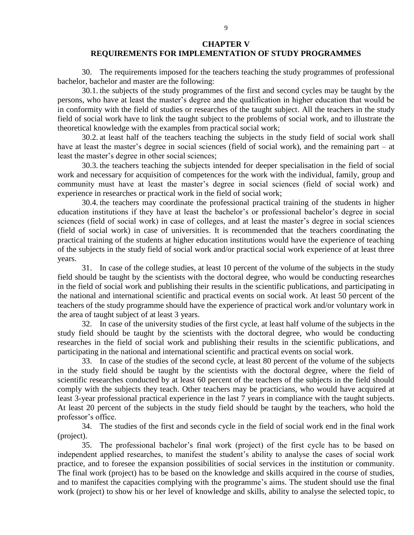### **CHAPTER V REQUIREMENTS FOR IMPLEMENTATION OF STUDY PROGRAMMES**

30. The requirements imposed for the teachers teaching the study programmes of professional bachelor, bachelor and master are the following:

30.1. the subjects of the study programmes of the first and second cycles may be taught by the persons, who have at least the master's degree and the qualification in higher education that would be in conformity with the field of studies or researches of the taught subject. All the teachers in the study field of social work have to link the taught subject to the problems of social work, and to illustrate the theoretical knowledge with the examples from practical social work;

30.2. at least half of the teachers teaching the subjects in the study field of social work shall have at least the master's degree in social sciences (field of social work), and the remaining part – at least the master's degree in other social sciences;

30.3. the teachers teaching the subjects intended for deeper specialisation in the field of social work and necessary for acquisition of competences for the work with the individual, family, group and community must have at least the master's degree in social sciences (field of social work) and experience in researches or practical work in the field of social work;

30.4. the teachers may coordinate the professional practical training of the students in higher education institutions if they have at least the bachelor's or professional bachelor's degree in social sciences (field of social work) in case of colleges, and at least the master's degree in social sciences (field of social work) in case of universities. It is recommended that the teachers coordinating the practical training of the students at higher education institutions would have the experience of teaching of the subjects in the study field of social work and/or practical social work experience of at least three years.

31. In case of the college studies, at least 10 percent of the volume of the subjects in the study field should be taught by the scientists with the doctoral degree, who would be conducting researches in the field of social work and publishing their results in the scientific publications, and participating in the national and international scientific and practical events on social work. At least 50 percent of the teachers of the study programme should have the experience of practical work and/or voluntary work in the area of taught subject of at least 3 years.

32. In case of the university studies of the first cycle, at least half volume of the subjects in the study field should be taught by the scientists with the doctoral degree, who would be conducting researches in the field of social work and publishing their results in the scientific publications, and participating in the national and international scientific and practical events on social work.

33. In case of the studies of the second cycle, at least 80 percent of the volume of the subjects in the study field should be taught by the scientists with the doctoral degree, where the field of scientific researches conducted by at least 60 percent of the teachers of the subjects in the field should comply with the subjects they teach. Other teachers may be practicians, who would have acquired at least 3-year professional practical experience in the last 7 years in compliance with the taught subjects. At least 20 percent of the subjects in the study field should be taught by the teachers, who hold the professor's office.

34. The studies of the first and seconds cycle in the field of social work end in the final work (project).

35. The professional bachelor's final work (project) of the first cycle has to be based on independent applied researches, to manifest the student's ability to analyse the cases of social work practice, and to foresee the expansion possibilities of social services in the institution or community. The final work (project) has to be based on the knowledge and skills acquired in the course of studies, and to manifest the capacities complying with the programme's aims. The student should use the final work (project) to show his or her level of knowledge and skills, ability to analyse the selected topic, to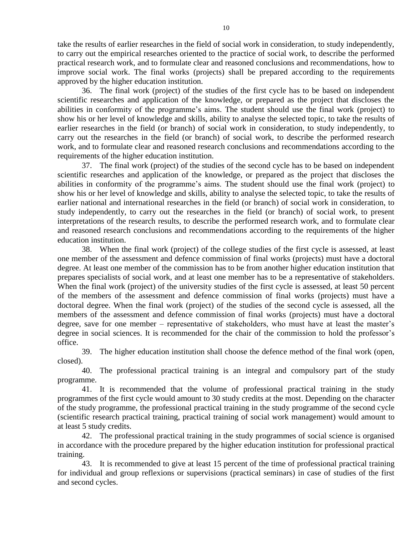take the results of earlier researches in the field of social work in consideration, to study independently, to carry out the empirical researches oriented to the practice of social work, to describe the performed practical research work, and to formulate clear and reasoned conclusions and recommendations, how to improve social work. The final works (projects) shall be prepared according to the requirements approved by the higher education institution.

36. The final work (project) of the studies of the first cycle has to be based on independent scientific researches and application of the knowledge, or prepared as the project that discloses the abilities in conformity of the programme's aims. The student should use the final work (project) to show his or her level of knowledge and skills, ability to analyse the selected topic, to take the results of earlier researches in the field (or branch) of social work in consideration, to study independently, to carry out the researches in the field (or branch) of social work, to describe the performed research work, and to formulate clear and reasoned research conclusions and recommendations according to the requirements of the higher education institution.

37. The final work (project) of the studies of the second cycle has to be based on independent scientific researches and application of the knowledge, or prepared as the project that discloses the abilities in conformity of the programme's aims. The student should use the final work (project) to show his or her level of knowledge and skills, ability to analyse the selected topic, to take the results of earlier national and international researches in the field (or branch) of social work in consideration, to study independently, to carry out the researches in the field (or branch) of social work, to present interpretations of the research results, to describe the performed research work, and to formulate clear and reasoned research conclusions and recommendations according to the requirements of the higher education institution.

38. When the final work (project) of the college studies of the first cycle is assessed, at least one member of the assessment and defence commission of final works (projects) must have a doctoral degree. At least one member of the commission has to be from another higher education institution that prepares specialists of social work, and at least one member has to be a representative of stakeholders. When the final work (project) of the university studies of the first cycle is assessed, at least 50 percent of the members of the assessment and defence commission of final works (projects) must have a doctoral degree. When the final work (project) of the studies of the second cycle is assessed, all the members of the assessment and defence commission of final works (projects) must have a doctoral degree, save for one member – representative of stakeholders, who must have at least the master's degree in social sciences. It is recommended for the chair of the commission to hold the professor's office.

39. The higher education institution shall choose the defence method of the final work (open, closed).

40. The professional practical training is an integral and compulsory part of the study programme.

41. It is recommended that the volume of professional practical training in the study programmes of the first cycle would amount to 30 study credits at the most. Depending on the character of the study programme, the professional practical training in the study programme of the second cycle (scientific research practical training, practical training of social work management) would amount to at least 5 study credits.

42. The professional practical training in the study programmes of social science is organised in accordance with the procedure prepared by the higher education institution for professional practical training.

43. It is recommended to give at least 15 percent of the time of professional practical training for individual and group reflexions or supervisions (practical seminars) in case of studies of the first and second cycles.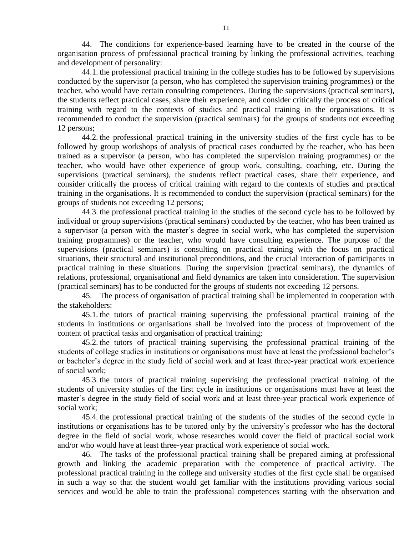44. The conditions for experience-based learning have to be created in the course of the organisation process of professional practical training by linking the professional activities, teaching and development of personality:

44.1. the professional practical training in the college studies has to be followed by supervisions conducted by the supervisor (a person, who has completed the supervision training programmes) or the teacher, who would have certain consulting competences. During the supervisions (practical seminars), the students reflect practical cases, share their experience, and consider critically the process of critical training with regard to the contexts of studies and practical training in the organisations. It is recommended to conduct the supervision (practical seminars) for the groups of students not exceeding 12 persons;

44.2. the professional practical training in the university studies of the first cycle has to be followed by group workshops of analysis of practical cases conducted by the teacher, who has been trained as a supervisor (a person, who has completed the supervision training programmes) or the teacher, who would have other experience of group work, consulting, coaching, etc. During the supervisions (practical seminars), the students reflect practical cases, share their experience, and consider critically the process of critical training with regard to the contexts of studies and practical training in the organisations. It is recommended to conduct the supervision (practical seminars) for the groups of students not exceeding 12 persons;

44.3. the professional practical training in the studies of the second cycle has to be followed by individual or group supervisions (practical seminars) conducted by the teacher, who has been trained as a supervisor (a person with the master's degree in social work, who has completed the supervision training programmes) or the teacher, who would have consulting experience. The purpose of the supervisions (practical seminars) is consulting on practical training with the focus on practical situations, their structural and institutional preconditions, and the crucial interaction of participants in practical training in these situations. During the supervision (practical seminars), the dynamics of relations, professional, organisational and field dynamics are taken into consideration. The supervision (practical seminars) has to be conducted for the groups of students not exceeding 12 persons.

45. The process of organisation of practical training shall be implemented in cooperation with the stakeholders:

45.1. the tutors of practical training supervising the professional practical training of the students in institutions or organisations shall be involved into the process of improvement of the content of practical tasks and organisation of practical training;

45.2. the tutors of practical training supervising the professional practical training of the students of college studies in institutions or organisations must have at least the professional bachelor's or bachelor's degree in the study field of social work and at least three-year practical work experience of social work;

45.3. the tutors of practical training supervising the professional practical training of the students of university studies of the first cycle in institutions or organisations must have at least the master's degree in the study field of social work and at least three-year practical work experience of social work;

45.4. the professional practical training of the students of the studies of the second cycle in institutions or organisations has to be tutored only by the university's professor who has the doctoral degree in the field of social work, whose researches would cover the field of practical social work and/or who would have at least three-year practical work experience of social work.

46. The tasks of the professional practical training shall be prepared aiming at professional growth and linking the academic preparation with the competence of practical activity. The professional practical training in the college and university studies of the first cycle shall be organised in such a way so that the student would get familiar with the institutions providing various social services and would be able to train the professional competences starting with the observation and